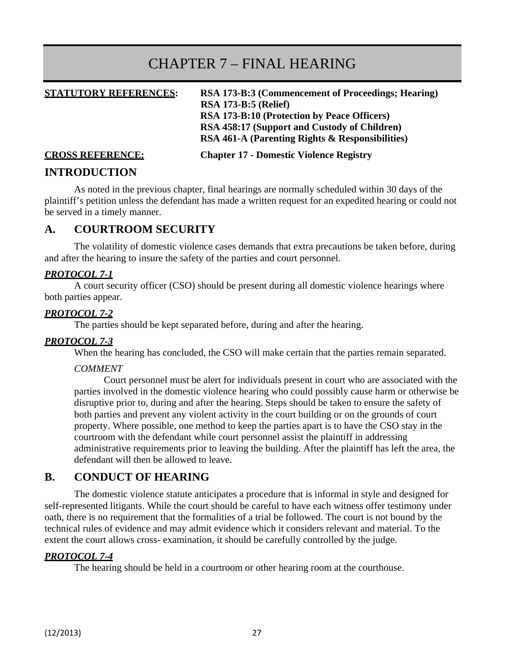# CHAPTER 7 – FINAL HEARING

**STATUTORY REFERENCES: RSA 173-B:3 (Commencement of Proceedings; Hearing) RSA 173-B:5 (Relief) RSA 173-B:10 (Protection by Peace Officers) RSA 458:17 (Support and Custody of Children) RSA 461-A (Parenting Rights & Responsibilities)** 

**CROSS REFERENCE: Chapter 17 - Domestic Violence Registry** 

#### **INTRODUCTION**

As noted in the previous chapter, final hearings are normally scheduled within 30 days of the plaintiff's petition unless the defendant has made a written request for an expedited hearing or could not be served in a timely manner.

## **A. COURTROOM SECURITY**

The volatility of domestic violence cases demands that extra precautions be taken before, during and after the hearing to insure the safety of the parties and court personnel.

#### *PROTOCOL 7-1*

A court security officer (CSO) should be present during all domestic violence hearings where both parties appear.

#### *PROTOCOL 7-2*

The parties should be kept separated before, during and after the hearing.

#### *PROTOCOL 7-3*

When the hearing has concluded, the CSO will make certain that the parties remain separated.

#### *COMMENT*

Court personnel must be alert for individuals present in court who are associated with the parties involved in the domestic violence hearing who could possibly cause harm or otherwise be disruptive prior to, during and after the hearing. Steps should be taken to ensure the safety of both parties and prevent any violent activity in the court building or on the grounds of court property. Where possible, one method to keep the parties apart is to have the CSO stay in the courtroom with the defendant while court personnel assist the plaintiff in addressing administrative requirements prior to leaving the building. After the plaintiff has left the area, the defendant will then be allowed to leave.

## **B. CONDUCT OF HEARING**

The domestic violence statute anticipates a procedure that is informal in style and designed for self-represented litigants. While the court should be careful to have each witness offer testimony under oath, there is no requirement that the formalities of a trial be followed. The court is not bound by the technical rules of evidence and may admit evidence which it considers relevant and material. To the extent the court allows cross- examination, it should be carefully controlled by the judge.

#### *PROTOCOL 7-4*

The hearing should be held in a courtroom or other hearing room at the courthouse.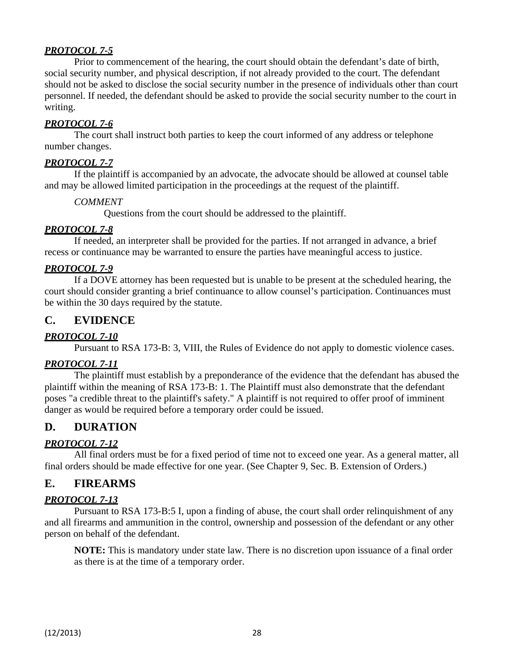Prior to commencement of the hearing, the court should obtain the defendant's date of birth, social security number, and physical description, if not already provided to the court. The defendant should not be asked to disclose the social security number in the presence of individuals other than court personnel. If needed, the defendant should be asked to provide the social security number to the court in writing.

#### *PROTOCOL 7-6*

The court shall instruct both parties to keep the court informed of any address or telephone number changes.

#### *PROTOCOL 7-7*

If the plaintiff is accompanied by an advocate, the advocate should be allowed at counsel table and may be allowed limited participation in the proceedings at the request of the plaintiff.

#### *COMMENT*

Questions from the court should be addressed to the plaintiff.

#### *PROTOCOL 7-8*

If needed, an interpreter shall be provided for the parties. If not arranged in advance, a brief recess or continuance may be warranted to ensure the parties have meaningful access to justice.

#### *PROTOCOL 7-9*

If a DOVE attorney has been requested but is unable to be present at the scheduled hearing, the court should consider granting a brief continuance to allow counsel's participation. Continuances must be within the 30 days required by the statute.

## **C. EVIDENCE**

#### *PROTOCOL 7-10*

Pursuant to RSA 173-B: 3, VIII, the Rules of Evidence do not apply to domestic violence cases.

#### *PROTOCOL 7-11*

The plaintiff must establish by a preponderance of the evidence that the defendant has abused the plaintiff within the meaning of RSA 173-B: 1. The Plaintiff must also demonstrate that the defendant poses "a credible threat to the plaintiff's safety." A plaintiff is not required to offer proof of imminent danger as would be required before a temporary order could be issued.

## **D. DURATION**

#### *PROTOCOL 7-12*

All final orders must be for a fixed period of time not to exceed one year. As a general matter, all final orders should be made effective for one year. (See Chapter 9, Sec. B. Extension of Orders.)

## **E. FIREARMS**

#### *PROTOCOL 7-13*

Pursuant to RSA 173-B:5 I, upon a finding of abuse, the court shall order relinquishment of any and all firearms and ammunition in the control, ownership and possession of the defendant or any other person on behalf of the defendant.

**NOTE:** This is mandatory under state law. There is no discretion upon issuance of a final order as there is at the time of a temporary order.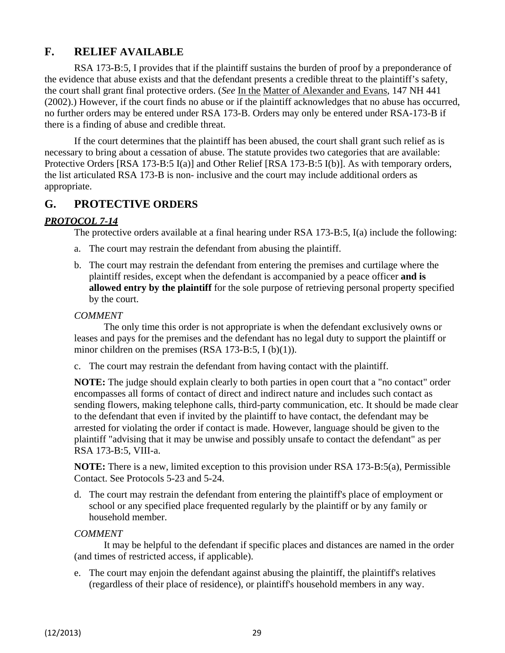## **F. RELIEF AVAILABLE**

RSA 173-B:5, I provides that if the plaintiff sustains the burden of proof by a preponderance of the evidence that abuse exists and that the defendant presents a credible threat to the plaintiff's safety, the court shall grant final protective orders. (*See* In the Matter of Alexander and Evans, 147 NH 441 (2002).) However, if the court finds no abuse or if the plaintiff acknowledges that no abuse has occurred, no further orders may be entered under RSA 173-B. Orders may only be entered under RSA-173-B if there is a finding of abuse and credible threat.

If the court determines that the plaintiff has been abused, the court shall grant such relief as is necessary to bring about a cessation of abuse. The statute provides two categories that are available: Protective Orders [RSA 173-B:5 I(a)] and Other Relief [RSA 173-B:5 I(b)]. As with temporary orders, the list articulated RSA 173-B is non- inclusive and the court may include additional orders as appropriate.

## **G. PROTECTIVE ORDERS**

#### *PROTOCOL 7-14*

The protective orders available at a final hearing under RSA 173-B:5, I(a) include the following:

- a. The court may restrain the defendant from abusing the plaintiff.
- b. The court may restrain the defendant from entering the premises and curtilage where the plaintiff resides, except when the defendant is accompanied by a peace officer **and is allowed entry by the plaintiff** for the sole purpose of retrieving personal property specified by the court.

#### *COMMENT*

The only time this order is not appropriate is when the defendant exclusively owns or leases and pays for the premises and the defendant has no legal duty to support the plaintiff or minor children on the premises  $(RSA 173-B:5, I (b)(1)).$ 

c. The court may restrain the defendant from having contact with the plaintiff.

**NOTE:** The judge should explain clearly to both parties in open court that a "no contact" order encompasses all forms of contact of direct and indirect nature and includes such contact as sending flowers, making telephone calls, third-party communication, etc. It should be made clear to the defendant that even if invited by the plaintiff to have contact, the defendant may be arrested for violating the order if contact is made. However, language should be given to the plaintiff "advising that it may be unwise and possibly unsafe to contact the defendant" as per RSA 173-B:5, VIII-a.

**NOTE:** There is a new, limited exception to this provision under RSA 173-B:5(a), Permissible Contact. See Protocols 5-23 and 5-24.

d. The court may restrain the defendant from entering the plaintiff's place of employment or school or any specified place frequented regularly by the plaintiff or by any family or household member.

#### *COMMENT*

It may be helpful to the defendant if specific places and distances are named in the order (and times of restricted access, if applicable).

e. The court may enjoin the defendant against abusing the plaintiff, the plaintiff's relatives (regardless of their place of residence), or plaintiff's household members in any way.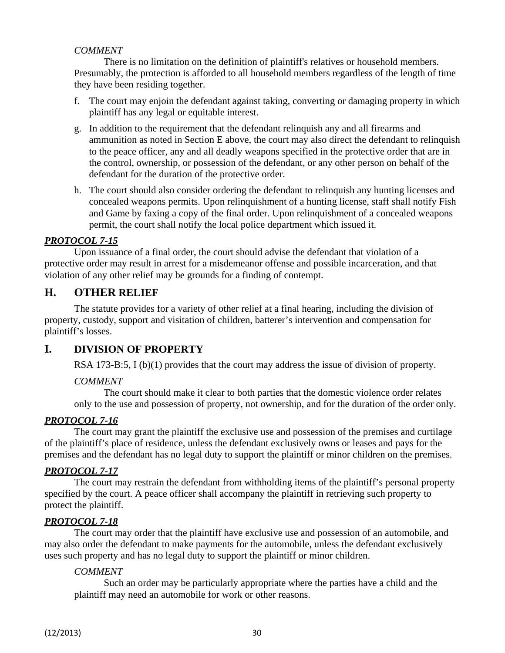#### *COMMENT*

There is no limitation on the definition of plaintiff's relatives or household members. Presumably, the protection is afforded to all household members regardless of the length of time they have been residing together.

- f. The court may enjoin the defendant against taking, converting or damaging property in which plaintiff has any legal or equitable interest.
- g. In addition to the requirement that the defendant relinquish any and all firearms and ammunition as noted in Section E above, the court may also direct the defendant to relinquish to the peace officer, any and all deadly weapons specified in the protective order that are in the control, ownership, or possession of the defendant, or any other person on behalf of the defendant for the duration of the protective order.
- h. The court should also consider ordering the defendant to relinquish any hunting licenses and concealed weapons permits. Upon relinquishment of a hunting license, staff shall notify Fish and Game by faxing a copy of the final order. Upon relinquishment of a concealed weapons permit, the court shall notify the local police department which issued it.

#### *PROTOCOL 7-15*

Upon issuance of a final order, the court should advise the defendant that violation of a protective order may result in arrest for a misdemeanor offense and possible incarceration, and that violation of any other relief may be grounds for a finding of contempt.

## **H. OTHER RELIEF**

The statute provides for a variety of other relief at a final hearing, including the division of property, custody, support and visitation of children, batterer's intervention and compensation for plaintiff's losses.

## **I. DIVISION OF PROPERTY**

RSA 173-B:5, I (b)(1) provides that the court may address the issue of division of property.

#### *COMMENT*

The court should make it clear to both parties that the domestic violence order relates only to the use and possession of property, not ownership, and for the duration of the order only.

#### *PROTOCOL 7-16*

The court may grant the plaintiff the exclusive use and possession of the premises and curtilage of the plaintiff's place of residence, unless the defendant exclusively owns or leases and pays for the premises and the defendant has no legal duty to support the plaintiff or minor children on the premises.

#### *PROTOCOL 7-17*

The court may restrain the defendant from withholding items of the plaintiff's personal property specified by the court. A peace officer shall accompany the plaintiff in retrieving such property to protect the plaintiff.

## *PROTOCOL 7-18*

The court may order that the plaintiff have exclusive use and possession of an automobile, and may also order the defendant to make payments for the automobile, unless the defendant exclusively uses such property and has no legal duty to support the plaintiff or minor children.

#### *COMMENT*

Such an order may be particularly appropriate where the parties have a child and the plaintiff may need an automobile for work or other reasons.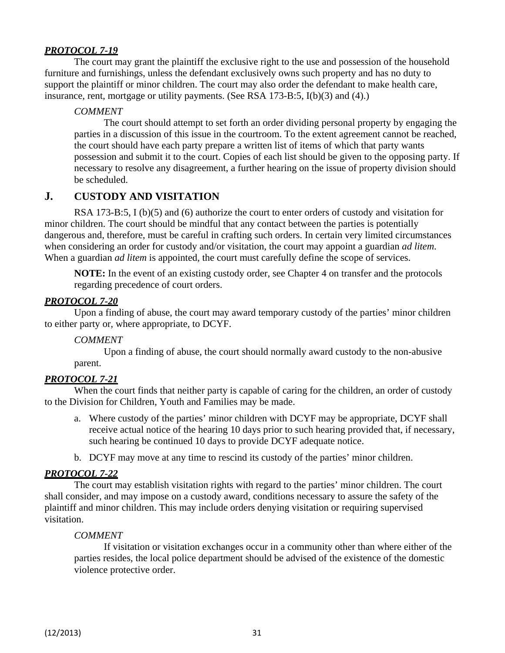The court may grant the plaintiff the exclusive right to the use and possession of the household furniture and furnishings, unless the defendant exclusively owns such property and has no duty to support the plaintiff or minor children. The court may also order the defendant to make health care, insurance, rent, mortgage or utility payments. (See RSA 173-B:5, I(b)(3) and (4).)

#### *COMMENT*

The court should attempt to set forth an order dividing personal property by engaging the parties in a discussion of this issue in the courtroom. To the extent agreement cannot be reached, the court should have each party prepare a written list of items of which that party wants possession and submit it to the court. Copies of each list should be given to the opposing party. If necessary to resolve any disagreement, a further hearing on the issue of property division should be scheduled.

## **J. CUSTODY AND VISITATION**

RSA 173-B:5, I (b)(5) and (6) authorize the court to enter orders of custody and visitation for minor children. The court should be mindful that any contact between the parties is potentially dangerous and, therefore, must be careful in crafting such orders. In certain very limited circumstances when considering an order for custody and/or visitation, the court may appoint a guardian *ad litem*. When a guardian *ad litem* is appointed, the court must carefully define the scope of services.

**NOTE:** In the event of an existing custody order, see Chapter 4 on transfer and the protocols regarding precedence of court orders.

#### *PROTOCOL 7-20*

Upon a finding of abuse, the court may award temporary custody of the parties' minor children to either party or, where appropriate, to DCYF.

#### *COMMENT*

Upon a finding of abuse, the court should normally award custody to the non-abusive

parent.

## *PROTOCOL 7-21*

When the court finds that neither party is capable of caring for the children, an order of custody to the Division for Children, Youth and Families may be made.

- a. Where custody of the parties' minor children with DCYF may be appropriate, DCYF shall receive actual notice of the hearing 10 days prior to such hearing provided that, if necessary, such hearing be continued 10 days to provide DCYF adequate notice.
- b. DCYF may move at any time to rescind its custody of the parties' minor children.

#### *PROTOCOL 7-22*

The court may establish visitation rights with regard to the parties' minor children. The court shall consider, and may impose on a custody award, conditions necessary to assure the safety of the plaintiff and minor children. This may include orders denying visitation or requiring supervised visitation.

#### *COMMENT*

If visitation or visitation exchanges occur in a community other than where either of the parties resides, the local police department should be advised of the existence of the domestic violence protective order.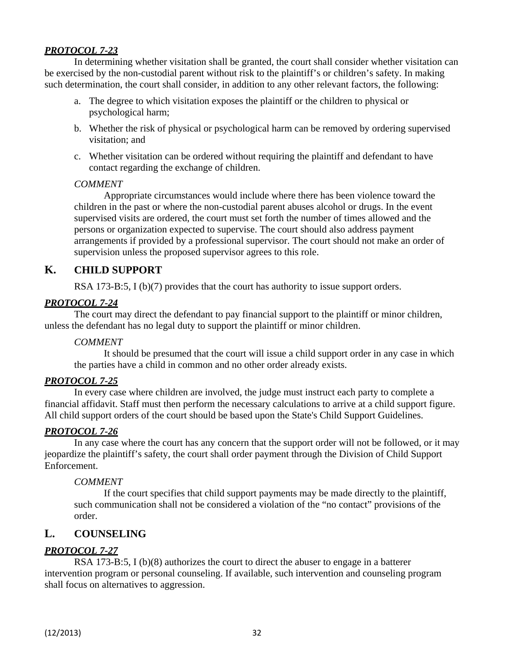In determining whether visitation shall be granted, the court shall consider whether visitation can be exercised by the non-custodial parent without risk to the plaintiff's or children's safety. In making such determination, the court shall consider, in addition to any other relevant factors, the following:

- a. The degree to which visitation exposes the plaintiff or the children to physical or psychological harm;
- b. Whether the risk of physical or psychological harm can be removed by ordering supervised visitation; and
- c. Whether visitation can be ordered without requiring the plaintiff and defendant to have contact regarding the exchange of children.

#### *COMMENT*

Appropriate circumstances would include where there has been violence toward the children in the past or where the non-custodial parent abuses alcohol or drugs. In the event supervised visits are ordered, the court must set forth the number of times allowed and the persons or organization expected to supervise. The court should also address payment arrangements if provided by a professional supervisor. The court should not make an order of supervision unless the proposed supervisor agrees to this role.

## **K. CHILD SUPPORT**

RSA 173-B:5, I (b)(7) provides that the court has authority to issue support orders.

#### *PROTOCOL 7-24*

The court may direct the defendant to pay financial support to the plaintiff or minor children, unless the defendant has no legal duty to support the plaintiff or minor children.

#### *COMMENT*

It should be presumed that the court will issue a child support order in any case in which the parties have a child in common and no other order already exists.

#### *PROTOCOL 7-25*

In every case where children are involved, the judge must instruct each party to complete a financial affidavit. Staff must then perform the necessary calculations to arrive at a child support figure. All child support orders of the court should be based upon the State's Child Support Guidelines.

## *PROTOCOL 7-26*

In any case where the court has any concern that the support order will not be followed, or it may jeopardize the plaintiff's safety, the court shall order payment through the Division of Child Support Enforcement.

#### *COMMENT*

If the court specifies that child support payments may be made directly to the plaintiff, such communication shall not be considered a violation of the "no contact" provisions of the order.

## **L. COUNSELING**

## *PROTOCOL 7-27*

RSA 173-B:5, I (b)(8) authorizes the court to direct the abuser to engage in a batterer intervention program or personal counseling. If available, such intervention and counseling program shall focus on alternatives to aggression.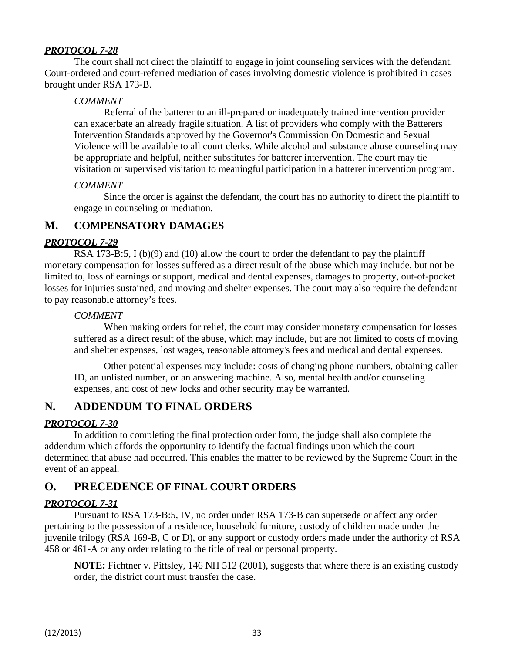The court shall not direct the plaintiff to engage in joint counseling services with the defendant. Court-ordered and court-referred mediation of cases involving domestic violence is prohibited in cases brought under RSA 173-B.

#### *COMMENT*

Referral of the batterer to an ill-prepared or inadequately trained intervention provider can exacerbate an already fragile situation. A list of providers who comply with the Batterers Intervention Standards approved by the Governor's Commission On Domestic and Sexual Violence will be available to all court clerks. While alcohol and substance abuse counseling may be appropriate and helpful, neither substitutes for batterer intervention. The court may tie visitation or supervised visitation to meaningful participation in a batterer intervention program.

#### *COMMENT*

Since the order is against the defendant, the court has no authority to direct the plaintiff to engage in counseling or mediation.

## **M. COMPENSATORY DAMAGES**

#### *PROTOCOL 7-29*

RSA 173-B:5, I (b)(9) and (10) allow the court to order the defendant to pay the plaintiff monetary compensation for losses suffered as a direct result of the abuse which may include, but not be limited to, loss of earnings or support, medical and dental expenses, damages to property, out-of-pocket losses for injuries sustained, and moving and shelter expenses. The court may also require the defendant to pay reasonable attorney's fees.

#### *COMMENT*

When making orders for relief, the court may consider monetary compensation for losses suffered as a direct result of the abuse, which may include, but are not limited to costs of moving and shelter expenses, lost wages, reasonable attorney's fees and medical and dental expenses.

Other potential expenses may include: costs of changing phone numbers, obtaining caller ID, an unlisted number, or an answering machine. Also, mental health and/or counseling expenses, and cost of new locks and other security may be warranted.

## **N. ADDENDUM TO FINAL ORDERS**

#### *PROTOCOL 7-30*

In addition to completing the final protection order form, the judge shall also complete the addendum which affords the opportunity to identify the factual findings upon which the court determined that abuse had occurred. This enables the matter to be reviewed by the Supreme Court in the event of an appeal.

## **O. PRECEDENCE OF FINAL COURT ORDERS**

## *PROTOCOL 7-31*

Pursuant to RSA 173-B:5, IV, no order under RSA 173-B can supersede or affect any order pertaining to the possession of a residence, household furniture, custody of children made under the juvenile trilogy (RSA 169-B, C or D), or any support or custody orders made under the authority of RSA 458 or 461-A or any order relating to the title of real or personal property.

**NOTE:** Fichtner v. Pittsley, 146 NH 512 (2001), suggests that where there is an existing custody order, the district court must transfer the case.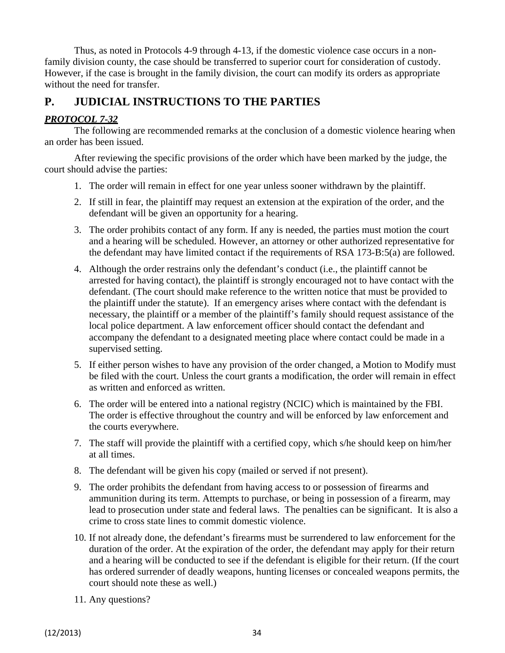Thus, as noted in Protocols 4-9 through 4-13, if the domestic violence case occurs in a nonfamily division county, the case should be transferred to superior court for consideration of custody. However, if the case is brought in the family division, the court can modify its orders as appropriate without the need for transfer.

## **P. JUDICIAL INSTRUCTIONS TO THE PARTIES**

### *PROTOCOL 7-32*

The following are recommended remarks at the conclusion of a domestic violence hearing when an order has been issued.

After reviewing the specific provisions of the order which have been marked by the judge, the court should advise the parties:

- 1. The order will remain in effect for one year unless sooner withdrawn by the plaintiff.
- 2. If still in fear, the plaintiff may request an extension at the expiration of the order, and the defendant will be given an opportunity for a hearing.
- 3. The order prohibits contact of any form. If any is needed, the parties must motion the court and a hearing will be scheduled. However, an attorney or other authorized representative for the defendant may have limited contact if the requirements of RSA 173-B:5(a) are followed.
- 4. Although the order restrains only the defendant's conduct (i.e., the plaintiff cannot be arrested for having contact), the plaintiff is strongly encouraged not to have contact with the defendant. (The court should make reference to the written notice that must be provided to the plaintiff under the statute). If an emergency arises where contact with the defendant is necessary, the plaintiff or a member of the plaintiff's family should request assistance of the local police department. A law enforcement officer should contact the defendant and accompany the defendant to a designated meeting place where contact could be made in a supervised setting.
- 5. If either person wishes to have any provision of the order changed, a Motion to Modify must be filed with the court. Unless the court grants a modification, the order will remain in effect as written and enforced as written.
- 6. The order will be entered into a national registry (NCIC) which is maintained by the FBI. The order is effective throughout the country and will be enforced by law enforcement and the courts everywhere.
- 7. The staff will provide the plaintiff with a certified copy, which s/he should keep on him/her at all times.
- 8. The defendant will be given his copy (mailed or served if not present).
- 9. The order prohibits the defendant from having access to or possession of firearms and ammunition during its term. Attempts to purchase, or being in possession of a firearm, may lead to prosecution under state and federal laws. The penalties can be significant. It is also a crime to cross state lines to commit domestic violence.
- 10. If not already done, the defendant's firearms must be surrendered to law enforcement for the duration of the order. At the expiration of the order, the defendant may apply for their return and a hearing will be conducted to see if the defendant is eligible for their return. (If the court has ordered surrender of deadly weapons, hunting licenses or concealed weapons permits, the court should note these as well.)
- 11. Any questions?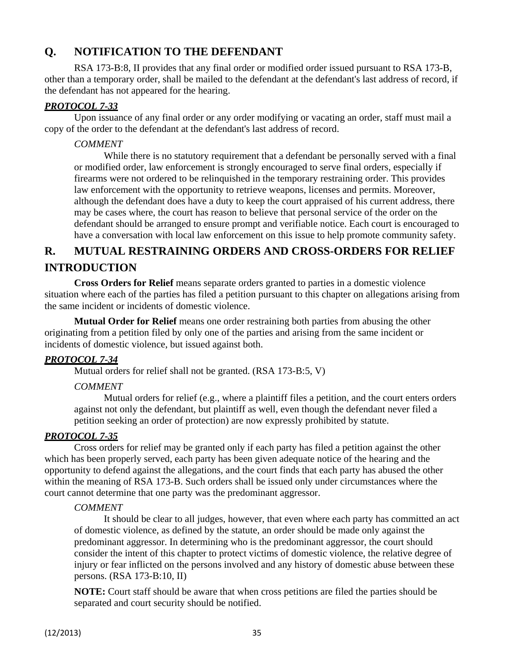# **Q. NOTIFICATION TO THE DEFENDANT**

RSA 173-B:8, II provides that any final order or modified order issued pursuant to RSA 173-B, other than a temporary order, shall be mailed to the defendant at the defendant's last address of record, if the defendant has not appeared for the hearing.

### *PROTOCOL 7-33*

Upon issuance of any final order or any order modifying or vacating an order, staff must mail a copy of the order to the defendant at the defendant's last address of record.

#### *COMMENT*

While there is no statutory requirement that a defendant be personally served with a final or modified order, law enforcement is strongly encouraged to serve final orders, especially if firearms were not ordered to be relinquished in the temporary restraining order. This provides law enforcement with the opportunity to retrieve weapons, licenses and permits. Moreover, although the defendant does have a duty to keep the court appraised of his current address, there may be cases where, the court has reason to believe that personal service of the order on the defendant should be arranged to ensure prompt and verifiable notice. Each court is encouraged to have a conversation with local law enforcement on this issue to help promote community safety.

# **R. MUTUAL RESTRAINING ORDERS AND CROSS-ORDERS FOR RELIEF INTRODUCTION**

**Cross Orders for Relief** means separate orders granted to parties in a domestic violence situation where each of the parties has filed a petition pursuant to this chapter on allegations arising from the same incident or incidents of domestic violence.

**Mutual Order for Relief** means one order restraining both parties from abusing the other originating from a petition filed by only one of the parties and arising from the same incident or incidents of domestic violence, but issued against both.

#### *PROTOCOL 7-34*

Mutual orders for relief shall not be granted. (RSA 173-B:5, V)

#### *COMMENT*

Mutual orders for relief (e.g., where a plaintiff files a petition, and the court enters orders against not only the defendant, but plaintiff as well, even though the defendant never filed a petition seeking an order of protection) are now expressly prohibited by statute.

## *PROTOCOL 7-35*

Cross orders for relief may be granted only if each party has filed a petition against the other which has been properly served, each party has been given adequate notice of the hearing and the opportunity to defend against the allegations, and the court finds that each party has abused the other within the meaning of RSA 173-B. Such orders shall be issued only under circumstances where the court cannot determine that one party was the predominant aggressor.

#### *COMMENT*

It should be clear to all judges, however, that even where each party has committed an act of domestic violence, as defined by the statute, an order should be made only against the predominant aggressor. In determining who is the predominant aggressor, the court should consider the intent of this chapter to protect victims of domestic violence, the relative degree of injury or fear inflicted on the persons involved and any history of domestic abuse between these persons. (RSA 173-B:10, II)

**NOTE:** Court staff should be aware that when cross petitions are filed the parties should be separated and court security should be notified.